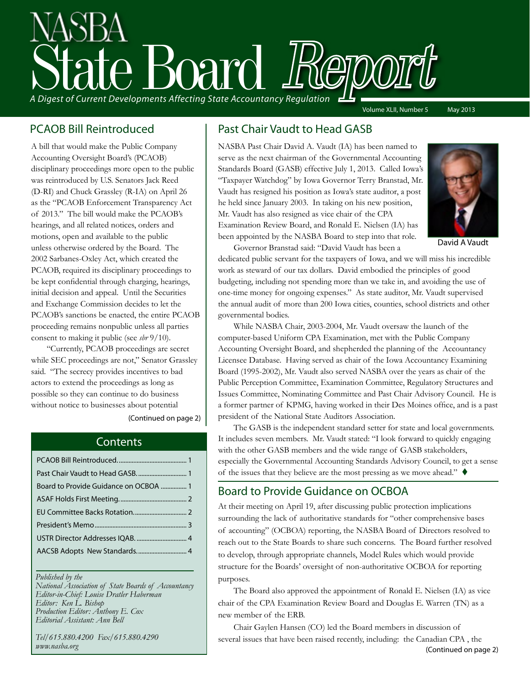# A Digest of Current Developments Affecting State Accountancy Regulation Volume XLII, Number 5 May 2013

#### PCAOB Bill Reintroduced

A bill that would make the Public Company Accounting Oversight Board's (PCAOB) disciplinary proceedings more open to the public was reintroduced by U.S. Senators Jack Reed (D-RI) and Chuck Grassley (R-IA) on April 26 as the "PCAOB Enforcement Transparency Act of 2013." The bill would make the PCAOB's hearings, and all related notices, orders and motions, open and available to the public unless otherwise ordered by the Board. The 2002 Sarbanes-Oxley Act, which created the PCAOB, required its disciplinary proceedings to be kept confidential through charging, hearings, initial decision and appeal. Until the Securities and Exchange Commission decides to let the PCAOB's sanctions be enacted, the entire PCAOB proceeding remains nonpublic unless all parties consent to making it public (see *sbr* 9/10).

"Currently, PCAOB proceedings are secret while SEC proceedings are not," Senator Grassley said. "The secrecy provides incentives to bad actors to extend the proceedings as long as possible so they can continue to do business without notice to businesses about potential

[\(Continued on page 2\)](#page-1-0)

#### **Contents**

| Past Chair Vaudt to Head GASB.  1     |  |
|---------------------------------------|--|
| Board to Provide Guidance on OCBOA  1 |  |
|                                       |  |
|                                       |  |
|                                       |  |
|                                       |  |
|                                       |  |
|                                       |  |

#### *Published by the*

*National Association of State Boards of Accountancy Editor-in-Chief: Louise Dratler Haberman Editor: Ken L. Bishop Production Editor: Anthony E. Cox Editorial Assistant: Ann Bell* 

*Tel/615.880.4200 Fax/615.880.4290 www.nasba.org*

#### Past Chair Vaudt to Head GASB

NASBA Past Chair David A. Vaudt (IA) has been named to serve as the next chairman of the Governmental Accounting Standards Board (GASB) effective July 1, 2013. Called Iowa's "Taxpayer Watchdog" by Iowa Governor Terry Branstad, Mr. Vaudt has resigned his position as Iowa's state auditor, a post he held since January 2003. In taking on his new position, Mr. Vaudt has also resigned as vice chair of the CPA Examination Review Board, and Ronald E. Nielsen (IA) has been appointed by the NASBA Board to step into that role. Governor Branstad said: "David Vaudt has been a



David A Vaudt

dedicated public servant for the taxpayers of Iowa, and we will miss his incredible work as steward of our tax dollars. David embodied the principles of good budgeting, including not spending more than we take in, and avoiding the use of one-time money for ongoing expenses." As state auditor, Mr. Vaudt supervised the annual audit of more than 200 Iowa cities, counties, school districts and other governmental bodies.

While NASBA Chair, 2003-2004, Mr. Vaudt oversaw the launch of the computer-based Uniform CPA Examination, met with the Public Company Accounting Oversight Board, and shepherded the planning of the Accountancy Licensee Database. Having served as chair of the Iowa Accountancy Examining Board (1995-2002), Mr. Vaudt also served NASBA over the years as chair of the Public Perception Committee, Examination Committee, Regulatory Structures and Issues Committee, Nominating Committee and Past Chair Advisory Council. He is a former partner of KPMG, having worked in their Des Moines office, and is a past president of the National State Auditors Association.

The GASB is the independent standard setter for state and local governments. It includes seven members. Mr. Vaudt stated: "I look forward to quickly engaging with the other GASB members and the wide range of GASB stakeholders, especially the Governmental Accounting Standards Advisory Council, to get a sense of the issues that they believe are the most pressing as we move ahead."  $\blacklozenge$ 

#### Board to Provide Guidance on OCBOA

At their meeting on April 19, after discussing public protection implications surrounding the lack of authoritative standards for "other comprehensive bases of accounting" (OCBOA) reporting, the NASBA Board of Directors resolved to reach out to the State Boards to share such concerns. The Board further resolved to develop, through appropriate channels, Model Rules which would provide structure for the Boards' oversight of non-authoritative OCBOA for reporting purposes.

The Board also approved the appointment of Ronald E. Nielsen (IA) as vice chair of the CPA Examination Review Board and Douglas E. Warren (TN) as a new member of the ERB.

Chair Gaylen Hansen (CO) led the Board members in discussion of several issues that have been raised recently, including: the Canadian CPA , the [\(Continued on page 2\)](#page-1-0)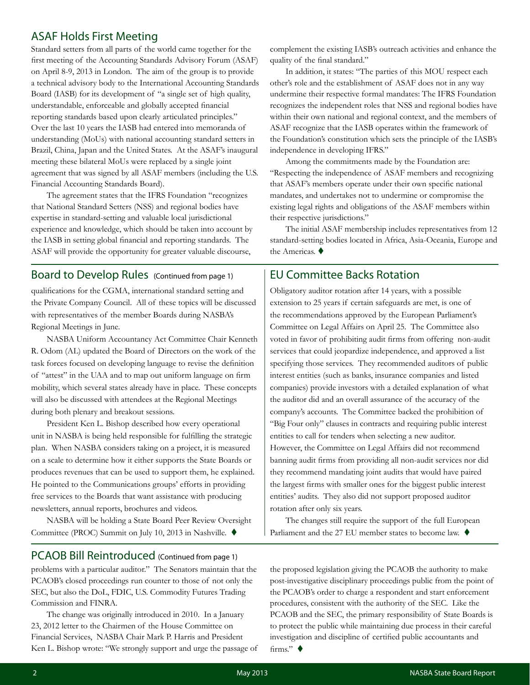#### <span id="page-1-0"></span>ASAF Holds First Meeting

Standard setters from all parts of the world came together for the first meeting of the Accounting Standards Advisory Forum (ASAF) on April 8-9, 2013 in London. The aim of the group is to provide a technical advisory body to the International Accounting Standards Board (IASB) for its development of "a single set of high quality, understandable, enforceable and globally accepted financial reporting standards based upon clearly articulated principles." Over the last 10 years the IASB had entered into memoranda of understanding (MoUs) with national accounting standard setters in Brazil, China, Japan and the United States. At the ASAF's inaugural meeting these bilateral MoUs were replaced by a single joint agreement that was signed by all ASAF members (including the U.S. Financial Accounting Standards Board).

The agreement states that the IFRS Foundation "recognizes that National Standard Setters (NSS) and regional bodies have expertise in standard-setting and valuable local jurisdictional experience and knowledge, which should be taken into account by the IASB in setting global financial and reporting standards. The ASAF will provide the opportunity for greater valuable discourse,

Board to Develop Rules (Continued from page 1)

qualifications for the CGMA, international standard setting and the Private Company Council. All of these topics will be discussed with representatives of the member Boards during NASBA's Regional Meetings in June.

NASBA Uniform Accountancy Act Committee Chair Kenneth R. Odom (AL) updated the Board of Directors on the work of the task forces focused on developing language to revise the definition of "attest" in the UAA and to map out uniform language on firm mobility, which several states already have in place. These concepts will also be discussed with attendees at the Regional Meetings during both plenary and breakout sessions.

President Ken L. Bishop described how every operational unit in NASBA is being held responsible for fulfilling the strategic plan. When NASBA considers taking on a project, it is measured on a scale to determine how it either supports the State Boards or produces revenues that can be used to support them, he explained. He pointed to the Communications groups' efforts in providing free services to the Boards that want assistance with producing newsletters, annual reports, brochures and videos.

NASBA will be holding a State Board Peer Review Oversight Committee (PROC) Summit on July 10, 2013 in Nashville.  $\blacklozenge$ 

complement the existing IASB's outreach activities and enhance the quality of the final standard."

In addition, it states: "The parties of this MOU respect each other's role and the establishment of ASAF does not in any way undermine their respective formal mandates: The IFRS Foundation recognizes the independent roles that NSS and regional bodies have within their own national and regional context, and the members of ASAF recognize that the IASB operates within the framework of the Foundation's constitution which sets the principle of the IASB's independence in developing IFRS."

Among the commitments made by the Foundation are: "Respecting the independence of ASAF members and recognizing that ASAF's members operate under their own specific national mandates, and undertakes not to undermine or compromise the existing legal rights and obligations of the ASAF members within their respective jurisdictions."

The initial ASAF membership includes representatives from 12 standard-setting bodies located in Africa, Asia-Oceania, Europe and the Americas.  $\blacklozenge$ 

#### EU Committee Backs Rotation

Obligatory auditor rotation after 14 years, with a possible extension to 25 years if certain safeguards are met, is one of the recommendations approved by the European Parliament's Committee on Legal Affairs on April 25. The Committee also voted in favor of prohibiting audit firms from offering non-audit services that could jeopardize independence, and approved a list specifying those services. They recommended auditors of public interest entities (such as banks, insurance companies and listed companies) provide investors with a detailed explanation of what the auditor did and an overall assurance of the accuracy of the company's accounts. The Committee backed the prohibition of "Big Four only" clauses in contracts and requiring public interest entities to call for tenders when selecting a new auditor. However, the Committee on Legal Affairs did not recommend banning audit firms from providing all non-audit services nor did they recommend mandating joint audits that would have paired the largest firms with smaller ones for the biggest public interest entities' audits. They also did not support proposed auditor rotation after only six years.

The changes still require the support of the full European Parliament and the 27 EU member states to become law.  $\blacklozenge$ 

#### PCAOB Bill Reintroduced (Continued from page 1)

problems with a particular auditor." The Senators maintain that the PCAOB's closed proceedings run counter to those of not only the SEC, but also the DoL, FDIC, U.S. Commodity Futures Trading Commission and FINRA.

The change was originally introduced in 2010. In a January 23, 2012 letter to the Chairmen of the House Committee on Financial Services, NASBA Chair Mark P. Harris and President Ken L. Bishop wrote: "We strongly support and urge the passage of the proposed legislation giving the PCAOB the authority to make post-investigative disciplinary proceedings public from the point of the PCAOB's order to charge a respondent and start enforcement procedures, consistent with the authority of the SEC. Like the PCAOB and the SEC, the primary responsibility of State Boards is to protect the public while maintaining due process in their careful investigation and discipline of certified public accountants and firms." $\blacklozenge$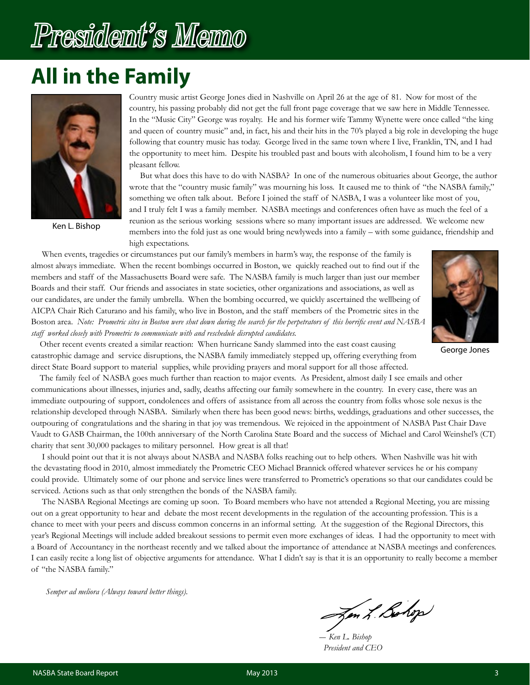# <span id="page-2-0"></span>President's Memo

## **All in the Family**



Ken L. Bishop

Country music artist George Jones died in Nashville on April 26 at the age of 81. Now for most of the country, his passing probably did not get the full front page coverage that we saw here in Middle Tennessee. In the "Music City" George was royalty. He and his former wife Tammy Wynette were once called "the king and queen of country music" and, in fact, his and their hits in the 70's played a big role in developing the huge following that country music has today. George lived in the same town where I live, Franklin, TN, and I had the opportunity to meet him. Despite his troubled past and bouts with alcoholism, I found him to be a very pleasant fellow.

 But what does this have to do with NASBA? In one of the numerous obituaries about George, the author wrote that the "country music family" was mourning his loss. It caused me to think of "the NASBA family," something we often talk about. Before I joined the staff of NASBA, I was a volunteer like most of you, and I truly felt I was a family member. NASBA meetings and conferences often have as much the feel of a reunion as the serious working sessions where so many important issues are addressed. We welcome new members into the fold just as one would bring newlyweds into a family – with some guidance, friendship and high expectations.

 When events, tragedies or circumstances put our family's members in harm's way, the response of the family is almost always immediate. When the recent bombings occurred in Boston, we quickly reached out to find out if the members and staff of the Massachusetts Board were safe. The NASBA family is much larger than just our member Boards and their staff. Our friends and associates in state societies, other organizations and associations, as well as our candidates, are under the family umbrella. When the bombing occurred, we quickly ascertained the wellbeing of AICPA Chair Rich Caturano and his family, who live in Boston, and the staff members of the Prometric sites in the Boston area. *Note: Prometric sites in Boston were shut down during the search for the perpetrators of this horrific event and NASBA staff worked closely with Prometric to communicate with and reschedule disrupted candidates.*



George Jones

 Other recent events created a similar reaction: When hurricane Sandy slammed into the east coast causing catastrophic damage and service disruptions, the NASBA family immediately stepped up, offering everything from direct State Board support to material supplies, while providing prayers and moral support for all those affected.

 The family feel of NASBA goes much further than reaction to major events. As President, almost daily I see emails and other communications about illnesses, injuries and, sadly, deaths affecting our family somewhere in the country. In every case, there was an immediate outpouring of support, condolences and offers of assistance from all across the country from folks whose sole nexus is the relationship developed through NASBA. Similarly when there has been good news: births, weddings, graduations and other successes, the outpouring of congratulations and the sharing in that joy was tremendous. We rejoiced in the appointment of NASBA Past Chair Dave Vaudt to GASB Chairman, the 100th anniversary of the North Carolina State Board and the success of Michael and Carol Weinshel's (CT) charity that sent 30,000 packages to military personnel. How great is all that!

 I should point out that it is not always about NASBA and NASBA folks reaching out to help others. When Nashville was hit with the devastating flood in 2010, almost immediately the Prometric CEO Michael Brannick offered whatever services he or his company could provide. Ultimately some of our phone and service lines were transferred to Prometric's operations so that our candidates could be serviced. Actions such as that only strengthen the bonds of the NASBA family.

 The NASBA Regional Meetings are coming up soon. To Board members who have not attended a Regional Meeting, you are missing out on a great opportunity to hear and debate the most recent developments in the regulation of the accounting profession. This is a chance to meet with your peers and discuss common concerns in an informal setting. At the suggestion of the Regional Directors, this year's Regional Meetings will include added breakout sessions to permit even more exchanges of ideas. I had the opportunity to meet with a Board of Accountancy in the northeast recently and we talked about the importance of attendance at NASBA meetings and conferences. I can easily recite a long list of objective arguments for attendance. What I didn't say is that it is an opportunity to really become a member of "the NASBA family."

*Semper ad meliora (Always toward better things).*

Jen L. Bohop

 *― Ken L. Bishop President and CEO*